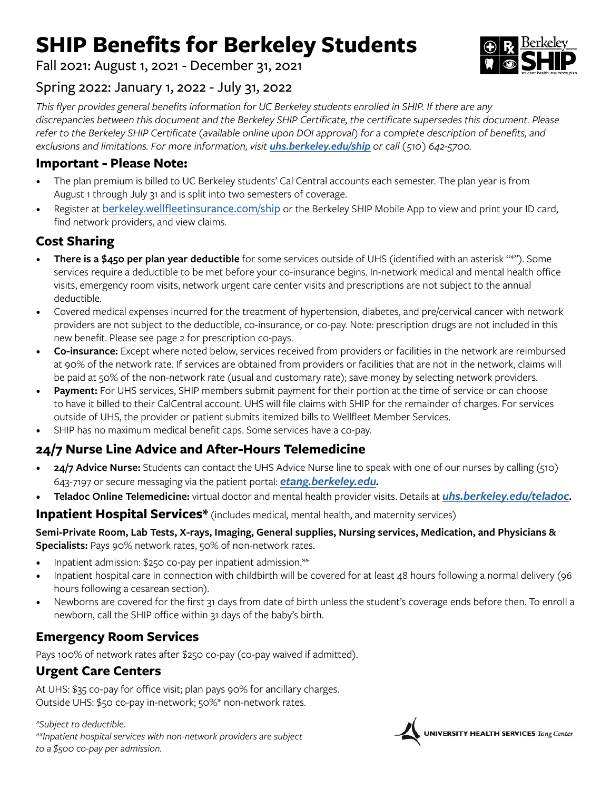## **SHIP Benefits for Berkeley Students**

Fall 2021: August 1, 2021 - December 31, 2021

## Spring 2022: January 1, 2022 - July 31, 2022

*This flyer provides general benefits information for UC Berkeley students enrolled in SHIP. If there are any discrepancies between this document and the Berkeley SHIP Certificate, the certificate supersedes this document. Please refer to the Berkeley SHIP Certificate (available online upon DOI approval) for a complete description of benefits, and exclusions and limitations. For more information, visit [uhs.berkeley.edu/ship](https://uhs.berkeley.edu/ship) or call (510) 642-5700.*

## **Important - Please Note:**

- The plan premium is billed to UC Berkeley students' Cal Central accounts each semester. The plan year is from August 1 through July 31 and is split into two semesters of coverage.
- Register at [berkeley.wellfleetinsurance.com/ship](http://berkeley.wellfleetinsurance.com/ship) or the Berkeley SHIP Mobile App to view and print your ID card, find network providers, and view claims.

## **Cost Sharing**

- **There is a \$450 per plan year deductible** for some services outside of UHS (identified with an asterisk "\*"). Some services require a deductible to be met before your co-insurance begins. In-network medical and mental health office visits, emergency room visits, network urgent care center visits and prescriptions are not subject to the annual deductible.
- Covered medical expenses incurred for the treatment of hypertension, diabetes, and pre/cervical cancer with network providers are not subject to the deductible, co-insurance, or co-pay. Note: prescription drugs are not included in this new benefit. Please see page 2 for prescription co-pays.
- **Co-insurance:** Except where noted below, services received from providers or facilities in the network are reimbursed at 90% of the network rate. If services are obtained from providers or facilities that are not in the network, claims will be paid at 50% of the non-network rate (usual and customary rate); save money by selecting network providers.
- Payment: For UHS services, SHIP members submit payment for their portion at the time of service or can choose to have it billed to their CalCentral account. UHS will file claims with SHIP for the remainder of charges. For services outside of UHS, the provider or patient submits itemized bills to Wellfleet Member Services.
- SHIP has no maximum medical benefit caps. Some services have a co-pay.

## **24/7 Nurse Line Advice and After-Hours Telemedicine**

- **24/7 Advice Nurse:** Students can contact the UHS Advice Nurse line to speak with one of our nurses by calling (510) 643-7197 or secure messaging via the patient portal: *[etang.berkeley.edu](http://etang.berkeley.edu).*
- **Teladoc Online Telemedicine:** virtual doctor and mental health provider visits. Details at *[uhs.berkeley.edu/teladoc.](http://uhs.berkeley.edu/teladoc)*

#### **Inpatient Hospital Services\*** (includes medical, mental health, and maternity services)

**Semi-Private Room, Lab Tests, X-rays, Imaging, General supplies, Nursing services, Medication, and Physicians & Specialists:** Pays 90% network rates, 50% of non-network rates.

- Inpatient admission: \$250 co-pay per inpatient admission.\*\*
- Inpatient hospital care in connection with childbirth will be covered for at least 48 hours following a normal delivery (96 hours following a cesarean section).
- Newborns are covered for the first 31 days from date of birth unless the student's coverage ends before then. To enroll a newborn, call the SHIP office within 31 days of the baby's birth.

## **Emergency Room Services**

Pays 100% of network rates after \$250 co-pay (co-pay waived if admitted).

### **Urgent Care Centers**

At UHS: \$35 co-pay for office visit; plan pays 90% for ancillary charges. Outside UHS: \$50 co-pay in-network; 50%\* non-network rates.

*\*Subject to deductible. \*\*Inpatient hospital services with non-network providers are subject to a \$500 co-pay per admission.*



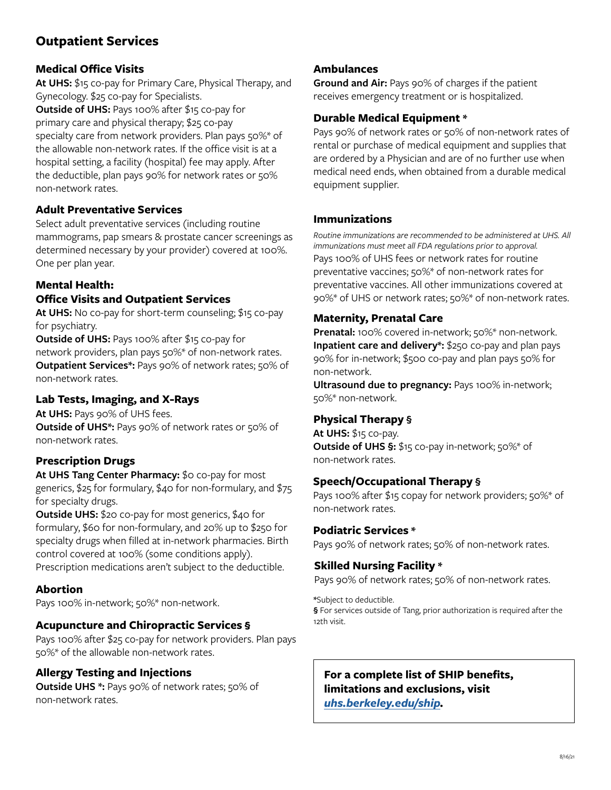## **Outpatient Services**

#### **Medical Office Visits**

**At UHS:** \$15 co-pay for Primary Care, Physical Therapy, and Gynecology. \$25 co-pay for Specialists.

**Outside of UHS:** Pays 100% after \$15 co-pay for primary care and physical therapy; \$25 co-pay specialty care from network providers. Plan pays 50%\* of the allowable non-network rates. If the office visit is at a hospital setting, a facility (hospital) fee may apply. After the deductible, plan pays 90% for network rates or 50% non-network rates.

#### **Adult Preventative Services**

Select adult preventative services (including routine mammograms, pap smears & prostate cancer screenings as determined necessary by your provider) covered at 100%. One per plan year.

#### **Mental Health: Office Visits and Outpatient Services**

**At UHS:** No co-pay for short-term counseling; \$15 co-pay for psychiatry.

**Outside of UHS:** Pays 100% after \$15 co-pay for network providers, plan pays 50%\* of non-network rates. **Outpatient Services\*:** Pays 90% of network rates; 50% of non-network rates.

### **Lab Tests, Imaging, and X-Rays**

**At UHS:** Pays 90% of UHS fees. **Outside of UHS\*:** Pays 90% of network rates or 50% of non-network rates.

#### **Prescription Drugs**

**At UHS Tang Center Pharmacy:** \$0 co-pay for most generics, \$25 for formulary, \$40 for non-formulary, and \$75 for specialty drugs.

**Outside UHS:** \$20 co-pay for most generics, \$40 for formulary, \$60 for non-formulary, and 20% up to \$250 for specialty drugs when filled at in-network pharmacies. Birth control covered at 100% (some conditions apply). Prescription medications aren't subject to the deductible.

#### **Abortion**

Pays 100% in-network; 50%\* non-network.

#### **Acupuncture and Chiropractic Services §**

Pays 100% after \$25 co-pay for network providers. Plan pays 50%\* of the allowable non-network rates.

#### **Allergy Testing and Injections**

**Outside UHS \*:** Pays 90% of network rates; 50% of non-network rates.

#### **Ambulances**

**Ground and Air:** Pays 90% of charges if the patient receives emergency treatment or is hospitalized.

#### **Durable Medical Equipment \***

Pays 90% of network rates or 50% of non-network rates of rental or purchase of medical equipment and supplies that are ordered by a Physician and are of no further use when medical need ends, when obtained from a durable medical equipment supplier.

#### **Immunizations**

Pays 100% of UHS fees or network rates for routine preventative vaccines; 50%\* of non-network rates for preventative vaccines. All other immunizations covered at 90%\* of UHS or network rates; 50%\* of non-network rates. *Routine immunizations are recommended to be administered at UHS. All immunizations must meet all FDA regulations prior to approval.*

#### **Maternity, Prenatal Care**

**Prenatal:** 100% covered in-network; 50%\* non-network. **Inpatient care and delivery\*:** \$250 co-pay and plan pays 90% for in-network; \$500 co-pay and plan pays 50% for non-network.

**Ultrasound due to pregnancy:** Pays 100% in-network; 50%\* non-network.

#### **Physical Therapy §**

**At UHS:** \$15 co-pay. **Outside of UHS §:** \$15 co-pay in-network; 50%\* of non-network rates.

#### **Speech/Occupational Therapy §**

Pays 100% after \$15 copay for network providers; 50%\* of non-network rates.

#### **Podiatric Services \***

Pays 90% of network rates; 50% of non-network rates.

#### **Skilled Nursing Facility \***

Pays 90% of network rates; 50% of non-network rates.

**\***Subject to deductible.

**§** For services outside of Tang, prior authorization is required after the 12th visit.

#### **For a complete list of SHIP benefits, limitations and exclusions, visit**  *[uhs.berkeley.edu/ship](http://uhs.berkeley.edu/ship).*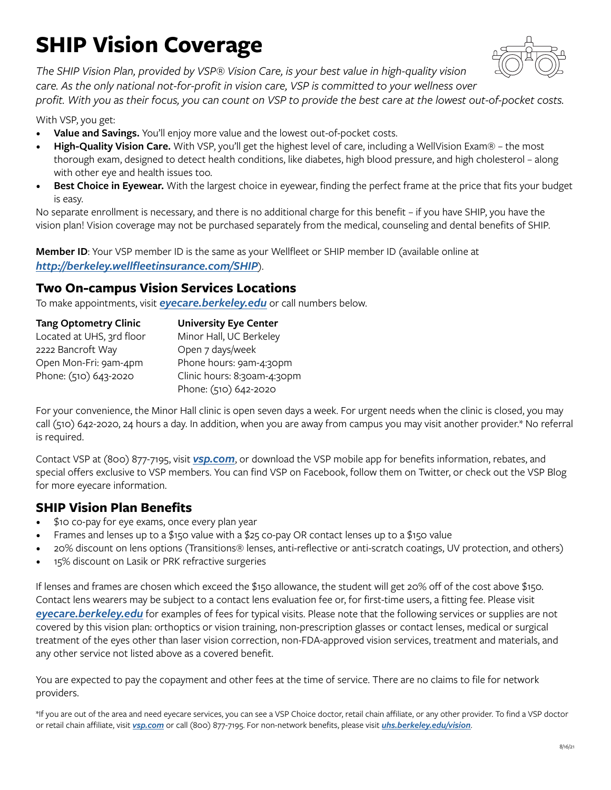## **SHIP Vision Coverage**



*The SHIP Vision Plan, provided by VSP® Vision Care, is your best value in high-quality vision care. As the only national not-for-profit in vision care, VSP is committed to your wellness over* 

*profit. With you as their focus, you can count on VSP to provide the best care at the lowest out-of-pocket costs.*

With VSP, you get:

- **Value and Savings.** You'll enjoy more value and the lowest out-of-pocket costs.
- **High-Quality Vision Care.** With VSP, you'll get the highest level of care, including a WellVision Exam® the most thorough exam, designed to detect health conditions, like diabetes, high blood pressure, and high cholesterol – along with other eye and health issues too.
- **Best Choice in Eyewear.** With the largest choice in eyewear, finding the perfect frame at the price that fits your budget is easy.

No separate enrollment is necessary, and there is no additional charge for this benefit – if you have SHIP, you have the vision plan! Vision coverage may not be purchased separately from the medical, counseling and dental benefits of SHIP.

**Member ID**: Your VSP member ID is the same as your Wellfleet or SHIP member ID (available online at *<http://berkeley.wellfleetinsurance.com/SHIP>*).

## **Two On-campus Vision Services Locations**

To make appointments, visit *[eyecare.berkeley.edu](http://eyecare.berkeley.edu)* or call numbers below.

| <b>Tang Optometry Clinic</b> | <b>University Eye Center</b> |  |
|------------------------------|------------------------------|--|
| Located at UHS, 3rd floor    | Minor Hall, UC Berkeley      |  |
| 2222 Bancroft Way            | Open 7 days/week             |  |
| Open Mon-Fri: 9am-4pm        | Phone hours: 9am-4:30pm      |  |
| Phone: (510) 643-2020        | Clinic hours: 8:30am-4:30pm  |  |
|                              | Phone: (510) 642-2020        |  |

For your convenience, the Minor Hall clinic is open seven days a week. For urgent needs when the clinic is closed, you may call (510) 642-2020, 24 hours a day. In addition, when you are away from campus you may visit another provider.\* No referral is required.

Contact VSP at (800) 877-7195, visit *[vsp.com](http://vsp.com)*, or download the VSP mobile app for benefits information, rebates, and special offers exclusive to VSP members. You can find VSP on Facebook, follow them on Twitter, or check out the VSP Blog for more eyecare information.

## **SHIP Vision Plan Benefits**

- \$10 co-pay for eye exams, once every plan year
- Frames and lenses up to a \$150 value with a \$25 co-pay OR contact lenses up to a \$150 value
- 20% discount on lens options (Transitions® lenses, anti-reflective or anti-scratch coatings, UV protection, and others)
- 15% discount on Lasik or PRK refractive surgeries

If lenses and frames are chosen which exceed the \$150 allowance, the student will get 20% off of the cost above \$150. Contact lens wearers may be subject to a contact lens evaluation fee or, for first-time users, a fitting fee. Please visit

*[eyecare.berkeley.edu](http://eyecare.berkeley.edu)* for examples of fees for typical visits. Please note that the following services or supplies are not covered by this vision plan: orthoptics or vision training, non-prescription glasses or contact lenses, medical or surgical treatment of the eyes other than laser vision correction, non-FDA-approved vision services, treatment and materials, and any other service not listed above as a covered benefit.

You are expected to pay the copayment and other fees at the time of service. There are no claims to file for network providers.

\*If you are out of the area and need eyecare services, you can see a VSP Choice doctor, retail chain affiliate, or any other provider. To find a VSP doctor or retail chain affiliate, visit *[vsp.com](http://vsp.com)* or call (800) 877-7195. For non-network benefits, please visit *[uhs.berkeley.edu/vision](http://uhs.berkeley.edu/vision)*.